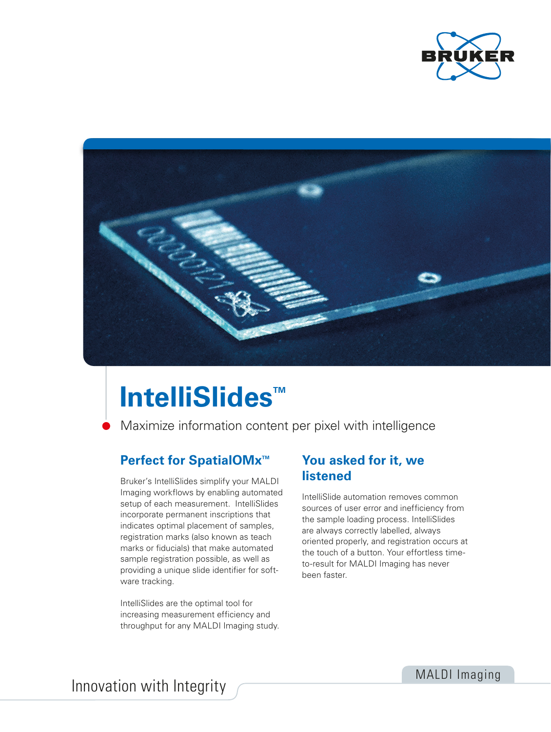



# **IntelliSlides™**

Maximize information content per pixel with intelligence

### **Perfect for SpatialOMx<sup>™</sup>**

Bruker's IntelliSlides simplify your MALDI Imaging workflows by enabling automated setup of each measurement. IntelliSlides incorporate permanent inscriptions that indicates optimal placement of samples, registration marks (also known as teach marks or fiducials) that make automated sample registration possible, as well as providing a unique slide identifier for software tracking.

IntelliSlides are the optimal tool for increasing measurement efficiency and throughput for any MALDI Imaging study.

### **You asked for it, we listened**

IntelliSlide automation removes common sources of user error and inefficiency from the sample loading process. IntelliSlides are always correctly labelled, always oriented properly, and registration occurs at the touch of a button. Your effortless timeto-result for MALDI Imaging has never been faster.

Innovation with Integrity MALDI Imaging